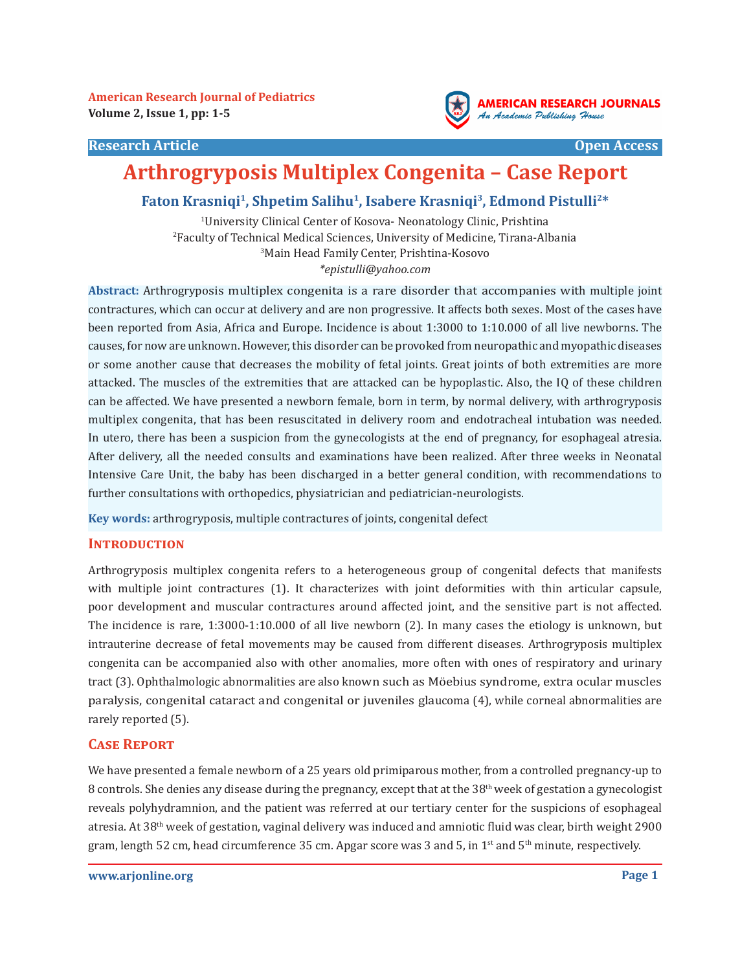**American Research Journal of Pediatrics Volume 2, Issue 1, pp: 1-5** 





# **Arthrogryposis Multiplex Congenita – Case Report**

## **Faton Krasniqi<sup>1</sup>, Shpetim Salihu<sup>1</sup>, Isabere Krasniqi<sup>3</sup>, Edmond Pistulli2\***

 University Clinical Center of Kosova- Neonatology Clinic, Prishtina Faculty of Technical Medical Sciences, University of Medicine, Tirana-Albania Main Head Family Center, Prishtina-Kosovo *\*epistulli@yahoo.com*

**Abstract:** Arthrogryposis multiplex congenita is a rare disorder that accompanies with multiple joint contractures, which can occur at delivery and are non progressive. It affects both sexes. Most of the cases have been reported from Asia, Africa and Europe. Incidence is about 1:3000 to 1:10.000 of all live newborns. The causes, for now are unknown. However, this disorder can be provoked from neuropathic and myopathic diseases or some another cause that decreases the mobility of fetal joints. Great joints of both extremities are more attacked. The muscles of the extremities that are attacked can be hypoplastic. Also, the IQ of these children can be affected. We have presented a newborn female, born in term, by normal delivery, with arthrogryposis multiplex congenita, that has been resuscitated in delivery room and endotracheal intubation was needed. In utero, there has been a suspicion from the gynecologists at the end of pregnancy, for esophageal atresia. After delivery, all the needed consults and examinations have been realized. After three weeks in Neonatal Intensive Care Unit, the baby has been discharged in a better general condition, with recommendations to further consultations with orthopedics, physiatrician and pediatrician-neurologists.

**Key words:** arthrogryposis, multiple contractures of joints, congenital defect

#### **Introduction**

Arthrogryposis multiplex congenita refers to a heterogeneous group of congenital defects that manifests with multiple joint contractures (1). It characterizes with joint deformities with thin articular capsule, poor development and muscular contractures around affected joint, and the sensitive part is not affected. The incidence is rare, 1:3000-1:10.000 of all live newborn (2). In many cases the etiology is unknown, but intrauterine decrease of fetal movements may be caused from different diseases. Arthrogryposis multiplex congenita can be accompanied also with other anomalies, more often with ones of respiratory and urinary tract (3). Ophthalmologic abnormalities are also known such as Möebius syndrome, extra ocular muscles paralysis, congenital cataract and congenital or juveniles glaucoma (4), while corneal abnormalities are rarely reported (5).

#### **Case Report**

We have presented a female newborn of a 25 years old primiparous mother, from a controlled pregnancy-up to 8 controls. She denies any disease during the pregnancy, except that at the 38<sup>th</sup> week of gestation a gynecologist reveals polyhydramnion, and the patient was referred at our tertiary center for the suspicions of esophageal atresia. At 38th week of gestation, vaginal delivery was induced and amniotic fluid was clear, birth weight 2900 gram, length 52 cm, head circumference 35 cm. Apgar score was 3 and 5, in  $1<sup>st</sup>$  and  $5<sup>th</sup>$  minute, respectively.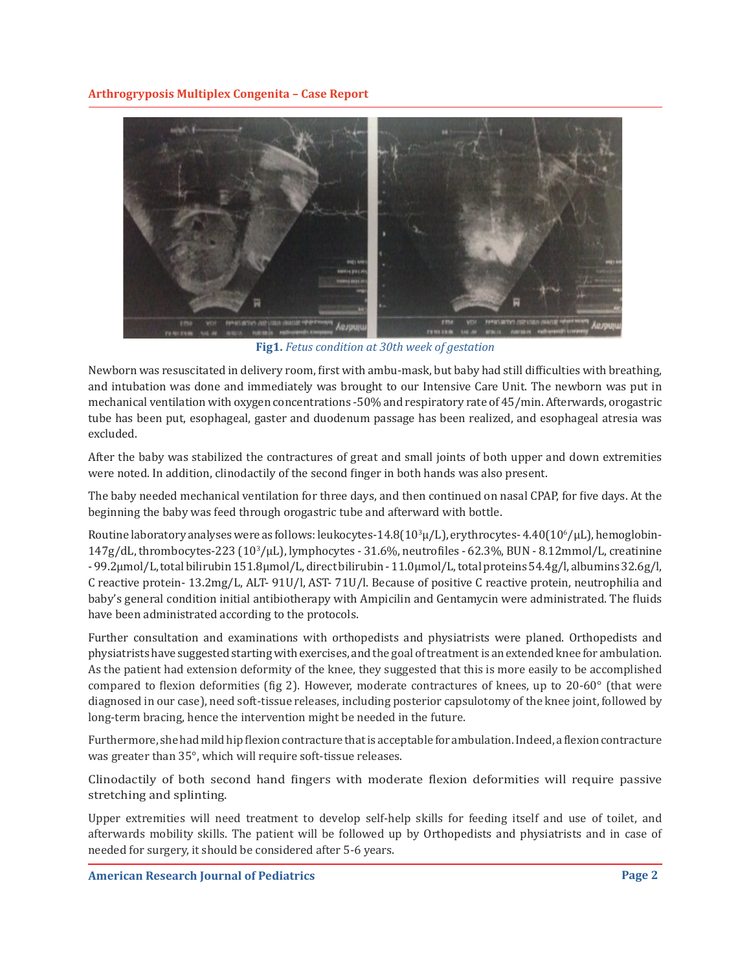**Arthrogryposis Multiplex Congenita – Case Report**



**Fig1.** *Fetus condition at 30th week of gestation*

Newborn was resuscitated in delivery room, first with ambu-mask, but baby had still difficulties with breathing, and intubation was done and immediately was brought to our Intensive Care Unit. The newborn was put in mechanical ventilation with oxygen concentrations -50% and respiratory rate of 45/min. Afterwards, orogastric tube has been put, esophageal, gaster and duodenum passage has been realized, and esophageal atresia was excluded.

After the baby was stabilized the contractures of great and small joints of both upper and down extremities were noted. In addition, clinodactily of the second finger in both hands was also present.

The baby needed mechanical ventilation for three days, and then continued on nasal CPAP, for five days. At the beginning the baby was feed through orogastric tube and afterward with bottle.

Routine laboratory analyses were as follows: leukocytes-14.8(10 $^3$ µ/L), erythrocytes- 4.40(10 $^6$ / $\mu$ L), hemoglobin-147g/dL, thrombocytes-223 (10<sup>3</sup> /μL), lymphocytes - 31.6%, neutrofiles - 62.3%, BUN - 8.12mmol/L, creatinine - 99.2μmol/L, total bilirubin 151.8μmol/L, direct bilirubin - 11.0μmol/L, total proteins 54.4g/l, albumins 32.6g/l, C reactive protein- 13.2mg/L, ALT- 91U/l, AST- 71U/l. Because of positive C reactive protein, neutrophilia and baby's general condition initial antibiotherapy with Ampicilin and Gentamycin were administrated. The fluids have been administrated according to the protocols.

Further consultation and examinations with orthopedists and physiatrists were planed. Orthopedists and physiatrists have suggested starting with exercises, and the goal of treatment is an extended knee for ambulation. As the patient had extension deformity of the knee, they suggested that this is more easily to be accomplished compared to flexion deformities (fig 2). However, moderate contractures of knees, up to 20-60° (that were diagnosed in our case), need soft-tissue releases, including posterior capsulotomy of the knee joint, followed by long-term bracing, hence the intervention might be needed in the future.

Furthermore, she had mild hip flexion contracture that is acceptable for ambulation. Indeed, a flexion contracture was greater than 35°, which will require soft-tissue releases.

Clinodactily of both second hand fingers with moderate flexion deformities will require passive stretching and splinting.

Upper extremities will need treatment to develop self-help skills for feeding itself and use of toilet, and afterwards mobility skills. The patient will be followed up by Orthopedists and physiatrists and in case of needed for surgery, it should be considered after 5-6 years.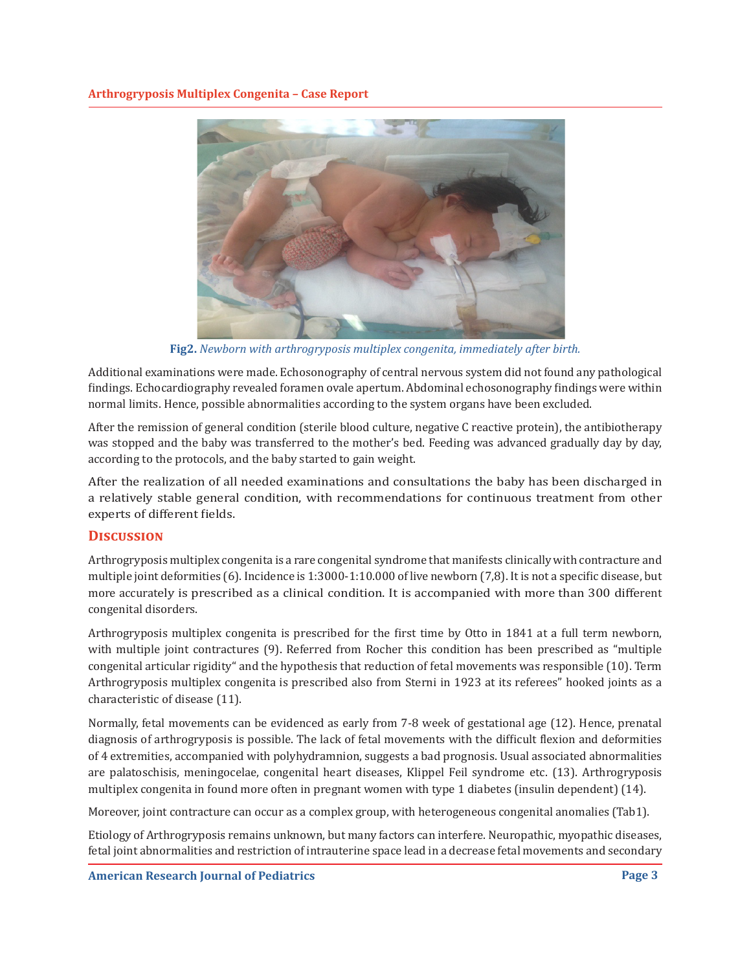

**Fig2.** *Newborn with arthrogryposis multiplex congenita, immediately after birth.*

Additional examinations were made. Echosonography of central nervous system did not found any pathological findings. Echocardiography revealed foramen ovale apertum. Abdominal echosonography findings were within normal limits. Hence, possible abnormalities according to the system organs have been excluded.

After the remission of general condition (sterile blood culture, negative C reactive protein), the antibiotherapy was stopped and the baby was transferred to the mother's bed. Feeding was advanced gradually day by day, according to the protocols, and the baby started to gain weight.

After the realization of all needed examinations and consultations the baby has been discharged in a relatively stable general condition, with recommendations for continuous treatment from other experts of different fields.

## **Discussion**

Arthrogryposis multiplex congenita is a rare congenital syndrome that manifests clinically with contracture and multiple joint deformities (6). Incidence is 1:3000-1:10.000 of live newborn (7,8). It is not a specific disease, but more accurately is prescribed as a clinical condition. It is accompanied with more than 300 different congenital disorders.

Arthrogryposis multiplex congenita is prescribed for the first time by Otto in 1841 at a full term newborn, with multiple joint contractures (9). Referred from Rocher this condition has been prescribed as "multiple congenital articular rigidity" and the hypothesis that reduction of fetal movements was responsible (10). Term Arthrogryposis multiplex congenita is prescribed also from Sterni in 1923 at its referees" hooked joints as a characteristic of disease (11).

Normally, fetal movements can be evidenced as early from 7-8 week of gestational age (12). Hence, prenatal diagnosis of arthrogryposis is possible. The lack of fetal movements with the difficult flexion and deformities of 4 extremities, accompanied with polyhydramnion, suggests a bad prognosis. Usual associated abnormalities are palatoschisis, meningocelae, congenital heart diseases, Klippel Feil syndrome etc. (13). Arthrogryposis multiplex congenita in found more often in pregnant women with type 1 diabetes (insulin dependent) (14).

Moreover, joint contracture can occur as a complex group, with heterogeneous congenital anomalies (Tab1).

Etiology of Arthrogryposis remains unknown, but many factors can interfere. Neuropathic, myopathic diseases, fetal joint abnormalities and restriction of intrauterine space lead in a decrease fetal movements and secondary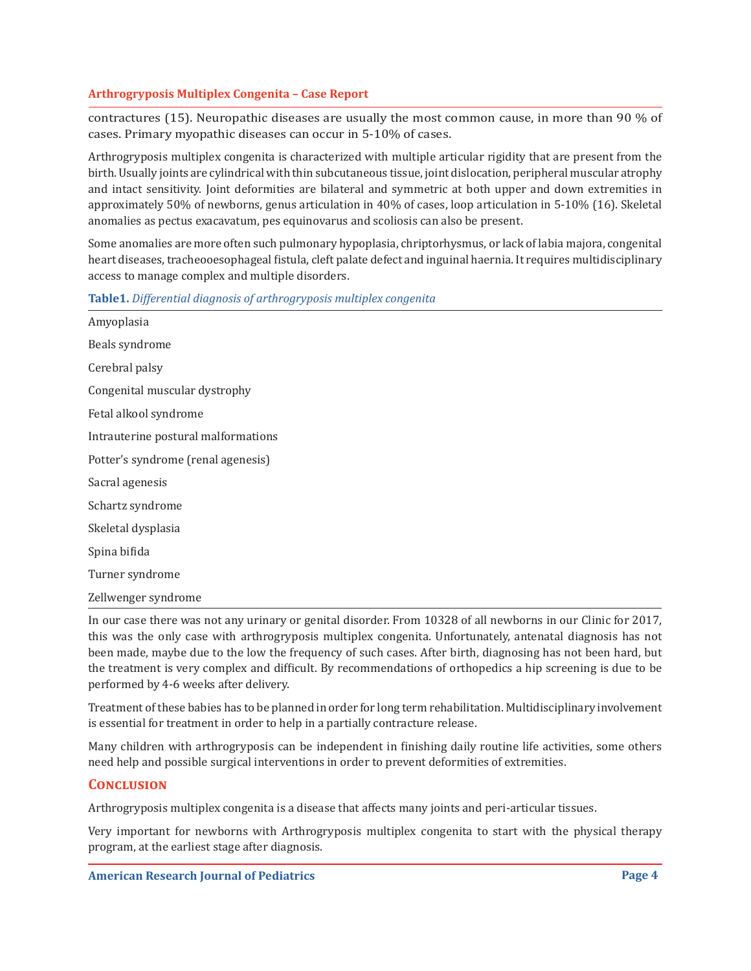## **Arthrogryposis Multiplex Congenita – Case Report**

contractures (15). Neuropathic diseases are usually the most common cause, in more than 90 % of cases. Primary myopathic diseases can occur in 5-10% of cases.

Arthrogryposis multiplex congenita is characterized with multiple articular rigidity that are present from the birth. Usually joints are cylindrical with thin subcutaneous tissue, joint dislocation, peripheral muscular atrophy and intact sensitivity. Joint deformities are bilateral and symmetric at both upper and down extremities in approximately 50% of newborns, genus articulation in 40% of cases, loop articulation in 5-10% (16). Skeletal anomalies as pectus exacavatum, pes equinovarus and scoliosis can also be present.

Some anomalies are more often such pulmonary hypoplasia, chriptorhysmus, or lack of labia majora, congenital heart diseases, tracheooesophageal fistula, cleft palate defect and inguinal haernia. It requires multidisciplinary access to manage complex and multiple disorders.

|  | Table1. Differential diagnosis of arthrogryposis multiplex congenita |
|--|----------------------------------------------------------------------|
|  |                                                                      |

| Amyoplasia                          |                                                                                                                                                                                                                                                                                                                                                     |  |
|-------------------------------------|-----------------------------------------------------------------------------------------------------------------------------------------------------------------------------------------------------------------------------------------------------------------------------------------------------------------------------------------------------|--|
| Beals syndrome                      |                                                                                                                                                                                                                                                                                                                                                     |  |
| Cerebral palsy                      |                                                                                                                                                                                                                                                                                                                                                     |  |
| Congenital muscular dystrophy       |                                                                                                                                                                                                                                                                                                                                                     |  |
| Fetal alkool syndrome               |                                                                                                                                                                                                                                                                                                                                                     |  |
| Intrauterine postural malformations |                                                                                                                                                                                                                                                                                                                                                     |  |
| Potter's syndrome (renal agenesis)  |                                                                                                                                                                                                                                                                                                                                                     |  |
| Sacral agenesis                     |                                                                                                                                                                                                                                                                                                                                                     |  |
| Schartz syndrome                    |                                                                                                                                                                                                                                                                                                                                                     |  |
| Skeletal dysplasia                  |                                                                                                                                                                                                                                                                                                                                                     |  |
| Spina bifida                        |                                                                                                                                                                                                                                                                                                                                                     |  |
| Turner syndrome                     |                                                                                                                                                                                                                                                                                                                                                     |  |
| Zellwenger syndrome                 |                                                                                                                                                                                                                                                                                                                                                     |  |
|                                     | $\overline{1}$ , $\overline{1}$ , $\overline{1}$ , $\overline{1}$ , $\overline{1}$ , $\overline{1}$ , $\overline{1}$ , $\overline{1}$ , $\overline{1}$ , $\overline{1}$ , $\overline{1}$ , $\overline{1}$ , $\overline{1}$ , $\overline{1}$ , $\overline{1}$ , $\overline{1}$ , $\overline{1}$ , $\overline{1}$ , $\overline{1}$ , $\overline{1}$ , |  |

In our case there was not any urinary or genital disorder. From 10328 of all newborns in our Clinic for 2017, this was the only case with arthrogryposis multiplex congenita. Unfortunately, antenatal diagnosis has not been made, maybe due to the low the frequency of such cases. After birth, diagnosing has not been hard, but the treatment is very complex and difficult. By recommendations of orthopedics a hip screening is due to be performed by 4-6 weeks after delivery.

Treatment of these babies has to be planned in order for long term rehabilitation. Multidisciplinary involvement is essential for treatment in order to help in a partially contracture release.

Many children with arthrogryposis can be independent in finishing daily routine life activities, some others need help and possible surgical interventions in order to prevent deformities of extremities.

## **Conclusion**

Arthrogryposis multiplex congenita is a disease that affects many joints and peri-articular tissues.

Very important for newborns with Arthrogryposis multiplex congenita to start with the physical therapy program, at the earliest stage after diagnosis.